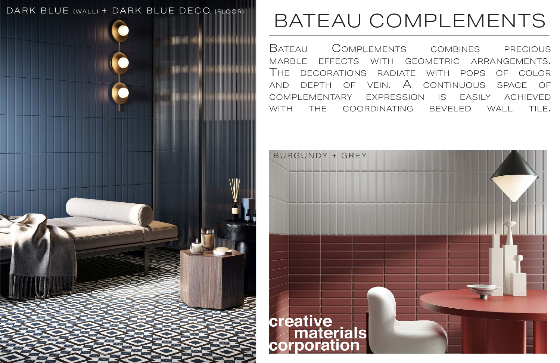# BATEAU COMPLEMENTS

Bateau Complements combines precious marble effects with geometric arrangements. The decorations radiate with pops of color and depth of vein. A continuous space of complementary expression is easily achieved with the coordinating beveled wall tile.



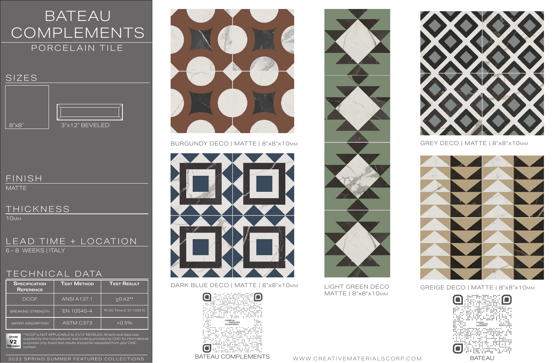



BURGUNDY DECO | MATTE | 8"x8"x10mm GREY DECO | MATTE | 8"x8"x10mm



DARK BLUE DECO | MATTE | 8"x8"x10mm LIGHT GREEN DECO GREIGE DECO | MATTE | 8"x8"x10mm





### BATEAU COMPLEMENTS PORCELAIN TILE

### TECHNICAL DATA

#### LEAD TIME + LOCATION 6 - 8 WEEKS | ITALY

| <b>SPECIFICATION</b><br><b>REFERENCE</b> | <b>TEST METHOD</b> | <b>TEST RESULT</b>   |
|------------------------------------------|--------------------|----------------------|
| <b>DCOF</b>                              | <b>ANSI A137.1</b> | $\geq$ 0.42**        |
| <b>BREAKING STRENGTH</b>                 | EN 10545-4         | R>35 N/mm2, S>1300 N |
| <b>WATER ABSORPTION</b>                  | ASTM C373          | $< 0.5\%$            |



MATTE

#### THICKNESS

10mm

Shade  $V<sub>2</sub>$ Variation \*\*DCOF is NOT APPLICABLE to 3"x12" BEVELED. All technical data was supplied by the manufacturer and is being provided by CMC for informational purposes only. Exact test results should be requested from your CMC



MATTE | 8"x8"x10mm